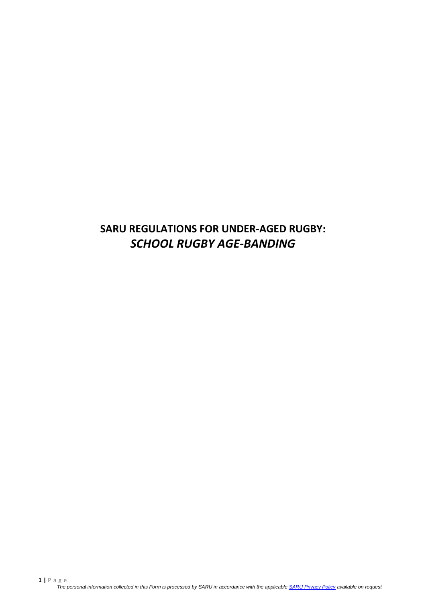# **SARU REGULATIONS FOR UNDER-AGED RUGBY:** *SCHOOL RUGBY AGE-BANDING*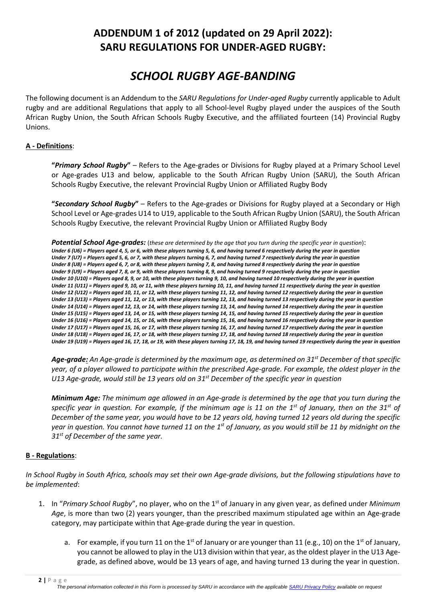## **ADDENDUM 1 of 2012 (updated on 29 April 2022): SARU REGULATIONS FOR UNDER-AGED RUGBY:**

# *SCHOOL RUGBY AGE-BANDING*

The following document is an Addendum to the *SARU Regulations for Under-aged Rugby* currently applicable to Adult rugby and are additional Regulations that apply to all School-level Rugby played under the auspices of the South African Rugby Union, the South African Schools Rugby Executive, and the affiliated fourteen (14) Provincial Rugby Unions.

#### **A - Definitions**:

**"***Primary School Rugby***"** – Refers to the Age-grades or Divisions for Rugby played at a Primary School Level or Age-grades U13 and below, applicable to the South African Rugby Union (SARU), the South African Schools Rugby Executive, the relevant Provincial Rugby Union or Affiliated Rugby Body

**"***Secondary School Rugby***"** – Refers to the Age-grades or Divisions for Rugby played at a Secondary or High School Level or Age-grades U14 to U19, applicable to the South African Rugby Union (SARU), the South African Schools Rugby Executive, the relevant Provincial Rugby Union or Affiliated Rugby Body

*Potential School Age-grades:* (*these are determined by the age that you turn during the specific year in question*): *Under 6 (U6) = Players aged 4, 5, or 6, with these players turning 5, 6, and having turned 6 respectively during the year in question Under 7 (U7) = Players aged 5, 6, or 7, with these players turning 6, 7, and having turned 7 respectively during the year in question Under 8 (U8) = Players aged 6, 7, or 8, with these players turning 7, 8, and having turned 8 respectively during the year in question Under 9 (U9) = Players aged 7, 8, or 9, with these players turning 8, 9, and having turned 9 respectively during the year in question Under 10 (U10) = Players aged 8, 9, or 10, with these players turning 9, 10, and having turned 10 respectively during the year in question Under 11 (U11) = Players aged 9, 10, or 11, with these players turning 10, 11, and having turned 11 respectively during the year in question Under 12 (U12) = Players aged 10, 11, or 12, with these players turning 11, 12, and having turned 12 respectively during the year in question Under 13 (U13) = Players aged 11, 12, or 13, with these players turning 12, 13, and having turned 13 respectively during the year in question Under 14 (U14) = Players aged 12, 13, or 14, with these players turning 13, 14, and having turned 14 respectively during the year in question Under 15 (U15) = Players aged 13, 14, or 15, with these players turning 14, 15, and having turned 15 respectively during the year in question Under 16 (U16) = Players aged 14, 15, or 16, with these players turning 15, 16, and having turned 16 respectively during the year in question Under 17 (U17) = Players aged 15, 16, or 17, with these players turning 16, 17, and having turned 17 respectively during the year in question Under 18 (U18) = Players aged 16, 17, or 18, with these players turning 17, 18, and having turned 18 respectively during the year in question Under 19 (U19) = Players aged 16, 17, 18, or 19, with these players turning 17, 18, 19, and having turned 19 respectively during the year in question*

*Age-grade: An Age-grade is determined by the maximum age, as determined on 31st December of that specific year, of a player allowed to participate within the prescribed Age-grade. For example, the oldest player in the U13 Age-grade, would still be 13 years old on 31st December of the specific year in question*

*Minimum Age: The minimum age allowed in an Age-grade is determined by the age that you turn during the specific year in question. For example, if the minimum age is 11 on the 1st of January, then on the 31st of December of the same year, you would have to be 12 years old, having turned 12 years old during the specific year in question. You cannot have turned 11 on the 1 st of January, as you would still be 11 by midnight on the 31st of December of the same year.*

### **B - Regulations**:

*In School Rugby in South Africa, schools may set their own Age-grade divisions, but the following stipulations have to be implemented*:

- 1. In "*Primary School Rugby*", no player, who on the 1st of January in any given year, as defined under *Minimum Age*, is more than two (2) years younger, than the prescribed maximum stipulated age within an Age-grade category, may participate within that Age-grade during the year in question.
	- a. For example, if you turn 11 on the 1<sup>st</sup> of January or are younger than 11 (e.g., 10) on the 1<sup>st</sup> of January, you cannot be allowed to play in the U13 division within that year, as the oldest player in the U13 Agegrade, as defined above, would be 13 years of age, and having turned 13 during the year in question.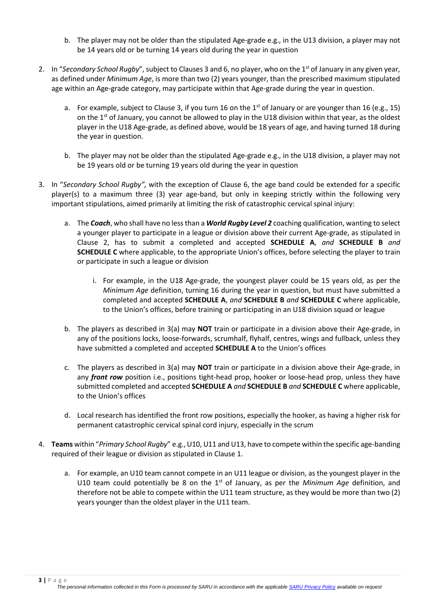- b. The player may not be older than the stipulated Age-grade e.g., in the U13 division, a player may not be 14 years old or be turning 14 years old during the year in question
- 2. In "*Secondary School Rugby*", subject to Clauses 3 and 6, no player, who on the 1st of January in any given year, as defined under *Minimum Age*, is more than two (2) years younger, than the prescribed maximum stipulated age within an Age-grade category, may participate within that Age-grade during the year in question.
	- a. For example, subject to Clause 3, if you turn 16 on the  $1<sup>st</sup>$  of January or are younger than 16 (e.g., 15) on the  $1<sup>st</sup>$  of January, you cannot be allowed to play in the U18 division within that year, as the oldest player in the U18 Age-grade, as defined above, would be 18 years of age, and having turned 18 during the year in question.
	- b. The player may not be older than the stipulated Age-grade e.g., in the U18 division, a player may not be 19 years old or be turning 19 years old during the year in question
- 3. In "*Secondary School Rugby",* with the exception of Clause 6, the age band could be extended for a specific player(s) to a maximum three (3) year age-band, but only in keeping strictly within the following very important stipulations, aimed primarily at limiting the risk of catastrophic cervical spinal injury:
	- a. The *Coach*, who shall have no less than a *World Rugby Level 2* coaching qualification, wanting to select a younger player to participate in a league or division above their current Age-grade, as stipulated in Clause 2, has to submit a completed and accepted **SCHEDULE A**, *and* **SCHEDULE B** *and* **SCHEDULE C** where applicable, to the appropriate Union's offices, before selecting the player to train or participate in such a league or division
		- i. For example, in the U18 Age-grade, the youngest player could be 15 years old, as per the *Minimum Age* definition, turning 16 during the year in question, but must have submitted a completed and accepted **SCHEDULE A**, *and* **SCHEDULE B** *and* **SCHEDULE C** where applicable, to the Union's offices, before training or participating in an U18 division squad or league
	- b. The players as described in 3(a) may **NOT** train or participate in a division above their Age-grade, in any of the positions locks, loose-forwards, scrumhalf, flyhalf, centres, wings and fullback, unless they have submitted a completed and accepted **SCHEDULE A** to the Union's offices
	- c. The players as described in 3(a) may **NOT** train or participate in a division above their Age-grade, in any *front row* position i.e., positions tight-head prop, hooker or loose-head prop, unless they have submitted completed and accepted **SCHEDULE A** *and* **SCHEDULE B** *and* **SCHEDULE C** where applicable, to the Union's offices
	- d. Local research has identified the front row positions, especially the hooker, as having a higher risk for permanent catastrophic cervical spinal cord injury, especially in the scrum
- 4. **Teams** within "*Primary School Rugby*" e.g., U10, U11 and U13, have to compete within the specific age-banding required of their league or division as stipulated in Clause 1.
	- a. For example, an U10 team cannot compete in an U11 league or division, as the youngest player in the U10 team could potentially be 8 on the 1<sup>st</sup> of January, as per the *Minimum Age* definition, and therefore not be able to compete within the U11 team structure, as they would be more than two (2) years younger than the oldest player in the U11 team.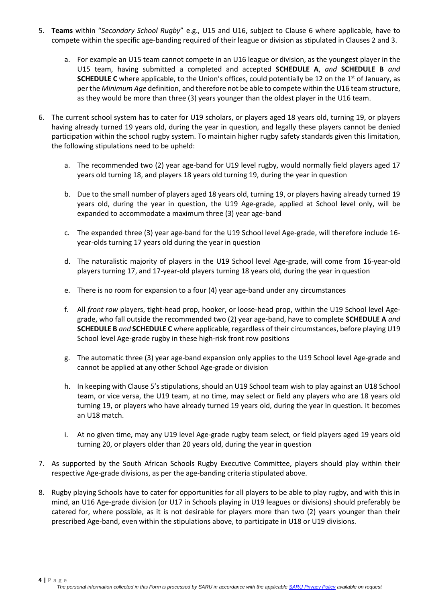- 5. **Teams** within "*Secondary School Rugby*" e.g., U15 and U16, subject to Clause 6 where applicable, have to compete within the specific age-banding required of their league or division as stipulated in Clauses 2 and 3.
	- a. For example an U15 team cannot compete in an U16 league or division, as the youngest player in the U15 team, having submitted a completed and accepted **SCHEDULE A**, *and* **SCHEDULE B** *and* **SCHEDULE C** where applicable, to the Union's offices, could potentially be 12 on the 1<sup>st</sup> of January, as per the *Minimum Age* definition, and therefore not be able to compete within the U16 team structure, as they would be more than three (3) years younger than the oldest player in the U16 team.
- 6. The current school system has to cater for U19 scholars, or players aged 18 years old, turning 19, or players having already turned 19 years old, during the year in question, and legally these players cannot be denied participation within the school rugby system. To maintain higher rugby safety standards given this limitation, the following stipulations need to be upheld:
	- a. The recommended two (2) year age-band for U19 level rugby, would normally field players aged 17 years old turning 18, and players 18 years old turning 19, during the year in question
	- b. Due to the small number of players aged 18 years old, turning 19, or players having already turned 19 years old, during the year in question, the U19 Age-grade, applied at School level only, will be expanded to accommodate a maximum three (3) year age-band
	- c. The expanded three (3) year age-band for the U19 School level Age-grade, will therefore include 16 year-olds turning 17 years old during the year in question
	- d. The naturalistic majority of players in the U19 School level Age-grade, will come from 16-year-old players turning 17, and 17-year-old players turning 18 years old, during the year in question
	- e. There is no room for expansion to a four (4) year age-band under any circumstances
	- f. All *front row* players, tight-head prop, hooker, or loose-head prop, within the U19 School level Agegrade, who fall outside the recommended two (2) year age-band, have to complete **SCHEDULE A** *and* **SCHEDULE B** *and* **SCHEDULE C** where applicable, regardless of their circumstances, before playing U19 School level Age-grade rugby in these high-risk front row positions
	- g. The automatic three (3) year age-band expansion only applies to the U19 School level Age-grade and cannot be applied at any other School Age-grade or division
	- h. In keeping with Clause 5's stipulations, should an U19 School team wish to play against an U18 School team, or vice versa, the U19 team, at no time, may select or field any players who are 18 years old turning 19, or players who have already turned 19 years old, during the year in question. It becomes an U18 match.
	- i. At no given time, may any U19 level Age-grade rugby team select, or field players aged 19 years old turning 20, or players older than 20 years old, during the year in question
- 7. As supported by the South African Schools Rugby Executive Committee, players should play within their respective Age-grade divisions, as per the age-banding criteria stipulated above.
- 8. Rugby playing Schools have to cater for opportunities for all players to be able to play rugby, and with this in mind, an U16 Age-grade division (or U17 in Schools playing in U19 leagues or divisions) should preferably be catered for, where possible, as it is not desirable for players more than two (2) years younger than their prescribed Age-band, even within the stipulations above, to participate in U18 or U19 divisions.

**4 |** P a g e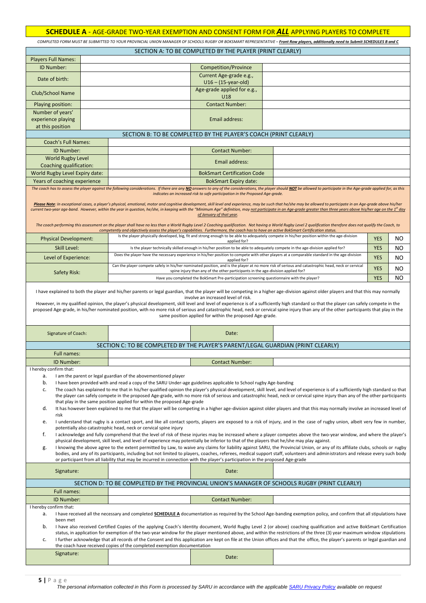#### **SCHEDULE A** - AGE-GRADE TWO-YEAR EXEMPTION AND CONSENT FORM FOR *ALL* APPLYING PLAYERS TO COMPLETE

*COMPLETED FORM MUST BE SUBMITTED TO YOUR PROVINCIAL UNION MANAGER OF SCHOOLS RUGBY OR BOKSMART REPRESENTATIVE – Front Row players, additionally need to Submit SCHEDULES B and C*

| <b>Players Full Names:</b><br>ID Number:<br>Competition/Province<br>Current Age-grade e.g.,<br>Date of birth:<br>$U16 - (15$ -year-old)<br>Age-grade applied for e.g.,<br>Club/School Name<br>U18<br>Playing position:<br><b>Contact Number:</b><br>Number of years'<br>experience playing<br>Email address:<br>at this position<br>SECTION B: TO BE COMPLETED BY THE PLAYER'S COACH (PRINT CLEARLY)<br><b>Coach's Full Names:</b><br>ID Number:<br><b>Contact Number:</b><br><b>World Rugby Level</b><br>Email address:<br>Coaching qualification:<br>World Rugby Level Expiry date:<br><b>BokSmart Certification Code</b><br>Years of coaching experience<br><b>BokSmart Expiry date:</b><br>The coach has to assess the player against the following considerations. If there are any NO answers to any of the considerations, the player should NOT be allowed to participate in the Age-grade applied for, as this<br>indicates an increased risk to safe participation in the Proposed Age-grade.<br>Please Note: In exceptional cases, a player's physical, emotional, motor and cognitive development, skill level and experience, may be such that he/she may be allowed to participate in an Age-grade above his/her<br>current two-year age-band. However, within the year in question, he/she, in keeping with the "Minimum Age" definition, may <u>not participate in an Age-grade greater than three years above his/her age on the 1<sup>st</sup> day</u><br>of January of that year.<br>The coach performing this assessment on the player shall have no less than a World Rugby Level 2 Coaching qualification. Not having a World Rugby Level 2 qualification therefore does not qualify the Coach, to<br>competently and objectively assess the player's capabilities. Furthermore, the coach has to have an active BokSmart Certification status.<br>Is the player physically developed, big, fit and strong enough to be able to adequately compete in his/her position within the age-division<br><b>YES</b><br>NO<br><b>Physical Development:</b><br>applied for?<br><b>YES</b><br>Skill Level:<br>Is the player technically skilled enough in his/her position to be able to adequately compete in the age-division applied for?<br>NO<br>Does the player have the necessary experience in his/her position to compete with other players at a comparable standard in the age-division<br>Level of Experience:<br><b>YES</b><br>NO<br>applied for?<br>Can the player compete safely in his/her nominated position, and is the player at no more risk of serious and catastrophic head, neck or cervical<br><b>YES</b><br>NO<br>spine injury than any of the other participants in the age-division applied for?<br>Safety Risk:<br><b>YES</b><br>NO<br>Have you completed the BokSmart Pre-participation screening questionnaire with the player?<br>I have explained to both the player and his/her parents or legal guardian, that the player will be competing in a higher age-division against older players and that this may normally<br>involve an increased level of risk.<br>However, in my qualified opinion, the player's physical development, skill level and level of experience is of a sufficiently high standard so that the player can safely compete in the<br>proposed Age-grade, in his/her nominated position, with no more risk of serious and catastrophic head, neck or cervical spine injury than any of the other participants that play in the<br>same position applied for within the proposed Age-grade.<br>Date:<br>Signature of Coach:<br>SECTION C: TO BE COMPLETED BY THE PLAYER'S PARENT/LEGAL GUARDIAN (PRINT CLEARLY)<br>Full names:<br>ID Number:<br><b>Contact Number:</b><br>I hereby confirm that:<br>I am the parent or legal guardian of the abovementioned player<br>a.<br>b.<br>I have been provided with and read a copy of the SARU Under-age guidelines applicable to School rugby Age-banding<br>The coach has explained to me that in his/her qualified opinion the player's physical development, skill level, and level of experience is of a sufficiently high standard so that<br>c.<br>the player can safely compete in the proposed Age-grade, with no more risk of serious and catastrophic head, neck or cervical spine injury than any of the other participants<br>that play in the same position applied for within the proposed Age-grade<br>d.<br>It has however been explained to me that the player will be competing in a higher age-division against older players and that this may normally involve an increased level of<br>risk<br>I understand that rugby is a contact sport, and like all contact sports, players are exposed to a risk of injury, and in the case of rugby union, albeit very few in number,<br>e.<br>potentially also catastrophic head, neck or cervical spine injury<br>f.<br>I acknowledge and fully comprehend that the level of risk of these injuries may be increased where a player competes above the two-year window, and where the player's<br>physical development, skill level, and level of experience may potentially be inferior to that of the players that he/she may play against.<br>I knowing the above agree to the extent permitted by Law, to waive any claims for liability against SARU, the Provincial Union, or any of its affiliate clubs, schools or rugby<br>g.<br>bodies, and any of its participants, including but not limited to players, coaches, referees, medical support staff, volunteers and administrators and release every such body<br>or participant from all liability that may be incurred in connection with the player's participation in the proposed Age-grade<br>Date:<br>Signature:<br>SECTION D: TO BE COMPLETED BY THE PROVINCIAL UNION'S MANAGER OF SCHOOLS RUGBY (PRINT CLEARLY)<br>Full names:<br>ID Number:<br><b>Contact Number:</b><br>I hereby confirm that:<br>I have received all the necessary and completed SCHEDULE A documentation as required by the School Age-banding exemption policy, and confirm that all stipulations have<br>а.<br>been met<br>b.<br>I have also received Certified Copies of the applying Coach's Identity document, World Rugby Level 2 (or above) coaching qualification and active BokSmart Certification<br>status, in application for exemption of the two-year window for the player mentioned above, and within the restrictions of the three (3) year maximum window stipulations<br>I further acknowledge that all records of the Consent and this application are kept on file at the Union offices and that the office, the player's parents or legal guardian and<br>c.<br>the coach have received copies of the completed exemption documentation<br>Signature:<br>Date: |  |  |  | SECTION A: TO BE COMPLETED BY THE PLAYER (PRINT CLEARLY) |  |  |  |  |  |
|--------------------------------------------------------------------------------------------------------------------------------------------------------------------------------------------------------------------------------------------------------------------------------------------------------------------------------------------------------------------------------------------------------------------------------------------------------------------------------------------------------------------------------------------------------------------------------------------------------------------------------------------------------------------------------------------------------------------------------------------------------------------------------------------------------------------------------------------------------------------------------------------------------------------------------------------------------------------------------------------------------------------------------------------------------------------------------------------------------------------------------------------------------------------------------------------------------------------------------------------------------------------------------------------------------------------------------------------------------------------------------------------------------------------------------------------------------------------------------------------------------------------------------------------------------------------------------------------------------------------------------------------------------------------------------------------------------------------------------------------------------------------------------------------------------------------------------------------------------------------------------------------------------------------------------------------------------------------------------------------------------------------------------------------------------------------------------------------------------------------------------------------------------------------------------------------------------------------------------------------------------------------------------------------------------------------------------------------------------------------------------------------------------------------------------------------------------------------------------------------------------------------------------------------------------------------------------------------------------------------------------------------------------------------------------------------------------------------------------------------------------------------------------------------------------------------------------------------------------------------------------------------------------------------------------------------------------------------------------------------------------------------------------------------------------------------------------------------------------------------------------------------------------------------------------------------------------------------------------------------------------------------------------------------------------------------------------------------------------------------------------------------------------------------------------------------------------------------------------------------------------------------------------------------------------------------------------------------------------------------------------------------------------------------------------------------------------------------------------------------------------------------------------------------------------------------------------------------------------------------------------------------------------------------------------------------------------------------------------------------------------------------------------------------------------------------------------------------------------------------------------------------------------------------------------------------------------------------------------------------------------------------------------------------------------------------------------------------------------------------------------------------------------------------------------------------------------------------------------------------------------------------------------------------------------------------------------------------------------------------------------------------------------------------------------------------------------------------------------------------------------------------------------------------------------------------------------------------------------------------------------------------------------------------------------------------------------------------------------------------------------------------------------------------------------------------------------------------------------------------------------------------------------------------------------------------------------------------------------------------------------------------------------------------------------------------------------------------------------------------------------------------------------------------------------------------------------------------------------------------------------------------------------------------------------------------------------------------------------------------------------------------------------------------------------------------------------------------------------------------------------------------------------------------------------------------------------------------------------------------------------------------------------------------------------------------------------------------------------------------------------------------------------------------------------------------------------------------------------------------------------------------------------------------------------------------------------------------------------------------------------------------------------------------------------------------------------------------------------------------------------------------------------------------------------------------------------------------------------------------------------------------------------------------------------------------------------------------------------------------------------------------------------------------------------------------------------------------------------------------------------------------------------------------------------|--|--|--|----------------------------------------------------------|--|--|--|--|--|
|                                                                                                                                                                                                                                                                                                                                                                                                                                                                                                                                                                                                                                                                                                                                                                                                                                                                                                                                                                                                                                                                                                                                                                                                                                                                                                                                                                                                                                                                                                                                                                                                                                                                                                                                                                                                                                                                                                                                                                                                                                                                                                                                                                                                                                                                                                                                                                                                                                                                                                                                                                                                                                                                                                                                                                                                                                                                                                                                                                                                                                                                                                                                                                                                                                                                                                                                                                                                                                                                                                                                                                                                                                                                                                                                                                                                                                                                                                                                                                                                                                                                                                                                                                                                                                                                                                                                                                                                                                                                                                                                                                                                                                                                                                                                                                                                                                                                                                                                                                                                                                                                                                                                                                                                                                                                                                                                                                                                                                                                                                                                                                                                                                                                                                                                                                                                                                                                                                                                                                                                                                                                                                                                                                                                                                                                                                                                                                                                                                                                                                                                                                                                                                                                                                                                                                                                        |  |  |  |                                                          |  |  |  |  |  |
|                                                                                                                                                                                                                                                                                                                                                                                                                                                                                                                                                                                                                                                                                                                                                                                                                                                                                                                                                                                                                                                                                                                                                                                                                                                                                                                                                                                                                                                                                                                                                                                                                                                                                                                                                                                                                                                                                                                                                                                                                                                                                                                                                                                                                                                                                                                                                                                                                                                                                                                                                                                                                                                                                                                                                                                                                                                                                                                                                                                                                                                                                                                                                                                                                                                                                                                                                                                                                                                                                                                                                                                                                                                                                                                                                                                                                                                                                                                                                                                                                                                                                                                                                                                                                                                                                                                                                                                                                                                                                                                                                                                                                                                                                                                                                                                                                                                                                                                                                                                                                                                                                                                                                                                                                                                                                                                                                                                                                                                                                                                                                                                                                                                                                                                                                                                                                                                                                                                                                                                                                                                                                                                                                                                                                                                                                                                                                                                                                                                                                                                                                                                                                                                                                                                                                                                                        |  |  |  |                                                          |  |  |  |  |  |
|                                                                                                                                                                                                                                                                                                                                                                                                                                                                                                                                                                                                                                                                                                                                                                                                                                                                                                                                                                                                                                                                                                                                                                                                                                                                                                                                                                                                                                                                                                                                                                                                                                                                                                                                                                                                                                                                                                                                                                                                                                                                                                                                                                                                                                                                                                                                                                                                                                                                                                                                                                                                                                                                                                                                                                                                                                                                                                                                                                                                                                                                                                                                                                                                                                                                                                                                                                                                                                                                                                                                                                                                                                                                                                                                                                                                                                                                                                                                                                                                                                                                                                                                                                                                                                                                                                                                                                                                                                                                                                                                                                                                                                                                                                                                                                                                                                                                                                                                                                                                                                                                                                                                                                                                                                                                                                                                                                                                                                                                                                                                                                                                                                                                                                                                                                                                                                                                                                                                                                                                                                                                                                                                                                                                                                                                                                                                                                                                                                                                                                                                                                                                                                                                                                                                                                                                        |  |  |  |                                                          |  |  |  |  |  |
|                                                                                                                                                                                                                                                                                                                                                                                                                                                                                                                                                                                                                                                                                                                                                                                                                                                                                                                                                                                                                                                                                                                                                                                                                                                                                                                                                                                                                                                                                                                                                                                                                                                                                                                                                                                                                                                                                                                                                                                                                                                                                                                                                                                                                                                                                                                                                                                                                                                                                                                                                                                                                                                                                                                                                                                                                                                                                                                                                                                                                                                                                                                                                                                                                                                                                                                                                                                                                                                                                                                                                                                                                                                                                                                                                                                                                                                                                                                                                                                                                                                                                                                                                                                                                                                                                                                                                                                                                                                                                                                                                                                                                                                                                                                                                                                                                                                                                                                                                                                                                                                                                                                                                                                                                                                                                                                                                                                                                                                                                                                                                                                                                                                                                                                                                                                                                                                                                                                                                                                                                                                                                                                                                                                                                                                                                                                                                                                                                                                                                                                                                                                                                                                                                                                                                                                                        |  |  |  |                                                          |  |  |  |  |  |
|                                                                                                                                                                                                                                                                                                                                                                                                                                                                                                                                                                                                                                                                                                                                                                                                                                                                                                                                                                                                                                                                                                                                                                                                                                                                                                                                                                                                                                                                                                                                                                                                                                                                                                                                                                                                                                                                                                                                                                                                                                                                                                                                                                                                                                                                                                                                                                                                                                                                                                                                                                                                                                                                                                                                                                                                                                                                                                                                                                                                                                                                                                                                                                                                                                                                                                                                                                                                                                                                                                                                                                                                                                                                                                                                                                                                                                                                                                                                                                                                                                                                                                                                                                                                                                                                                                                                                                                                                                                                                                                                                                                                                                                                                                                                                                                                                                                                                                                                                                                                                                                                                                                                                                                                                                                                                                                                                                                                                                                                                                                                                                                                                                                                                                                                                                                                                                                                                                                                                                                                                                                                                                                                                                                                                                                                                                                                                                                                                                                                                                                                                                                                                                                                                                                                                                                                        |  |  |  |                                                          |  |  |  |  |  |
|                                                                                                                                                                                                                                                                                                                                                                                                                                                                                                                                                                                                                                                                                                                                                                                                                                                                                                                                                                                                                                                                                                                                                                                                                                                                                                                                                                                                                                                                                                                                                                                                                                                                                                                                                                                                                                                                                                                                                                                                                                                                                                                                                                                                                                                                                                                                                                                                                                                                                                                                                                                                                                                                                                                                                                                                                                                                                                                                                                                                                                                                                                                                                                                                                                                                                                                                                                                                                                                                                                                                                                                                                                                                                                                                                                                                                                                                                                                                                                                                                                                                                                                                                                                                                                                                                                                                                                                                                                                                                                                                                                                                                                                                                                                                                                                                                                                                                                                                                                                                                                                                                                                                                                                                                                                                                                                                                                                                                                                                                                                                                                                                                                                                                                                                                                                                                                                                                                                                                                                                                                                                                                                                                                                                                                                                                                                                                                                                                                                                                                                                                                                                                                                                                                                                                                                                        |  |  |  |                                                          |  |  |  |  |  |
|                                                                                                                                                                                                                                                                                                                                                                                                                                                                                                                                                                                                                                                                                                                                                                                                                                                                                                                                                                                                                                                                                                                                                                                                                                                                                                                                                                                                                                                                                                                                                                                                                                                                                                                                                                                                                                                                                                                                                                                                                                                                                                                                                                                                                                                                                                                                                                                                                                                                                                                                                                                                                                                                                                                                                                                                                                                                                                                                                                                                                                                                                                                                                                                                                                                                                                                                                                                                                                                                                                                                                                                                                                                                                                                                                                                                                                                                                                                                                                                                                                                                                                                                                                                                                                                                                                                                                                                                                                                                                                                                                                                                                                                                                                                                                                                                                                                                                                                                                                                                                                                                                                                                                                                                                                                                                                                                                                                                                                                                                                                                                                                                                                                                                                                                                                                                                                                                                                                                                                                                                                                                                                                                                                                                                                                                                                                                                                                                                                                                                                                                                                                                                                                                                                                                                                                                        |  |  |  |                                                          |  |  |  |  |  |
|                                                                                                                                                                                                                                                                                                                                                                                                                                                                                                                                                                                                                                                                                                                                                                                                                                                                                                                                                                                                                                                                                                                                                                                                                                                                                                                                                                                                                                                                                                                                                                                                                                                                                                                                                                                                                                                                                                                                                                                                                                                                                                                                                                                                                                                                                                                                                                                                                                                                                                                                                                                                                                                                                                                                                                                                                                                                                                                                                                                                                                                                                                                                                                                                                                                                                                                                                                                                                                                                                                                                                                                                                                                                                                                                                                                                                                                                                                                                                                                                                                                                                                                                                                                                                                                                                                                                                                                                                                                                                                                                                                                                                                                                                                                                                                                                                                                                                                                                                                                                                                                                                                                                                                                                                                                                                                                                                                                                                                                                                                                                                                                                                                                                                                                                                                                                                                                                                                                                                                                                                                                                                                                                                                                                                                                                                                                                                                                                                                                                                                                                                                                                                                                                                                                                                                                                        |  |  |  |                                                          |  |  |  |  |  |
|                                                                                                                                                                                                                                                                                                                                                                                                                                                                                                                                                                                                                                                                                                                                                                                                                                                                                                                                                                                                                                                                                                                                                                                                                                                                                                                                                                                                                                                                                                                                                                                                                                                                                                                                                                                                                                                                                                                                                                                                                                                                                                                                                                                                                                                                                                                                                                                                                                                                                                                                                                                                                                                                                                                                                                                                                                                                                                                                                                                                                                                                                                                                                                                                                                                                                                                                                                                                                                                                                                                                                                                                                                                                                                                                                                                                                                                                                                                                                                                                                                                                                                                                                                                                                                                                                                                                                                                                                                                                                                                                                                                                                                                                                                                                                                                                                                                                                                                                                                                                                                                                                                                                                                                                                                                                                                                                                                                                                                                                                                                                                                                                                                                                                                                                                                                                                                                                                                                                                                                                                                                                                                                                                                                                                                                                                                                                                                                                                                                                                                                                                                                                                                                                                                                                                                                                        |  |  |  |                                                          |  |  |  |  |  |
|                                                                                                                                                                                                                                                                                                                                                                                                                                                                                                                                                                                                                                                                                                                                                                                                                                                                                                                                                                                                                                                                                                                                                                                                                                                                                                                                                                                                                                                                                                                                                                                                                                                                                                                                                                                                                                                                                                                                                                                                                                                                                                                                                                                                                                                                                                                                                                                                                                                                                                                                                                                                                                                                                                                                                                                                                                                                                                                                                                                                                                                                                                                                                                                                                                                                                                                                                                                                                                                                                                                                                                                                                                                                                                                                                                                                                                                                                                                                                                                                                                                                                                                                                                                                                                                                                                                                                                                                                                                                                                                                                                                                                                                                                                                                                                                                                                                                                                                                                                                                                                                                                                                                                                                                                                                                                                                                                                                                                                                                                                                                                                                                                                                                                                                                                                                                                                                                                                                                                                                                                                                                                                                                                                                                                                                                                                                                                                                                                                                                                                                                                                                                                                                                                                                                                                                                        |  |  |  |                                                          |  |  |  |  |  |
|                                                                                                                                                                                                                                                                                                                                                                                                                                                                                                                                                                                                                                                                                                                                                                                                                                                                                                                                                                                                                                                                                                                                                                                                                                                                                                                                                                                                                                                                                                                                                                                                                                                                                                                                                                                                                                                                                                                                                                                                                                                                                                                                                                                                                                                                                                                                                                                                                                                                                                                                                                                                                                                                                                                                                                                                                                                                                                                                                                                                                                                                                                                                                                                                                                                                                                                                                                                                                                                                                                                                                                                                                                                                                                                                                                                                                                                                                                                                                                                                                                                                                                                                                                                                                                                                                                                                                                                                                                                                                                                                                                                                                                                                                                                                                                                                                                                                                                                                                                                                                                                                                                                                                                                                                                                                                                                                                                                                                                                                                                                                                                                                                                                                                                                                                                                                                                                                                                                                                                                                                                                                                                                                                                                                                                                                                                                                                                                                                                                                                                                                                                                                                                                                                                                                                                                                        |  |  |  |                                                          |  |  |  |  |  |
|                                                                                                                                                                                                                                                                                                                                                                                                                                                                                                                                                                                                                                                                                                                                                                                                                                                                                                                                                                                                                                                                                                                                                                                                                                                                                                                                                                                                                                                                                                                                                                                                                                                                                                                                                                                                                                                                                                                                                                                                                                                                                                                                                                                                                                                                                                                                                                                                                                                                                                                                                                                                                                                                                                                                                                                                                                                                                                                                                                                                                                                                                                                                                                                                                                                                                                                                                                                                                                                                                                                                                                                                                                                                                                                                                                                                                                                                                                                                                                                                                                                                                                                                                                                                                                                                                                                                                                                                                                                                                                                                                                                                                                                                                                                                                                                                                                                                                                                                                                                                                                                                                                                                                                                                                                                                                                                                                                                                                                                                                                                                                                                                                                                                                                                                                                                                                                                                                                                                                                                                                                                                                                                                                                                                                                                                                                                                                                                                                                                                                                                                                                                                                                                                                                                                                                                                        |  |  |  |                                                          |  |  |  |  |  |
|                                                                                                                                                                                                                                                                                                                                                                                                                                                                                                                                                                                                                                                                                                                                                                                                                                                                                                                                                                                                                                                                                                                                                                                                                                                                                                                                                                                                                                                                                                                                                                                                                                                                                                                                                                                                                                                                                                                                                                                                                                                                                                                                                                                                                                                                                                                                                                                                                                                                                                                                                                                                                                                                                                                                                                                                                                                                                                                                                                                                                                                                                                                                                                                                                                                                                                                                                                                                                                                                                                                                                                                                                                                                                                                                                                                                                                                                                                                                                                                                                                                                                                                                                                                                                                                                                                                                                                                                                                                                                                                                                                                                                                                                                                                                                                                                                                                                                                                                                                                                                                                                                                                                                                                                                                                                                                                                                                                                                                                                                                                                                                                                                                                                                                                                                                                                                                                                                                                                                                                                                                                                                                                                                                                                                                                                                                                                                                                                                                                                                                                                                                                                                                                                                                                                                                                                        |  |  |  |                                                          |  |  |  |  |  |
|                                                                                                                                                                                                                                                                                                                                                                                                                                                                                                                                                                                                                                                                                                                                                                                                                                                                                                                                                                                                                                                                                                                                                                                                                                                                                                                                                                                                                                                                                                                                                                                                                                                                                                                                                                                                                                                                                                                                                                                                                                                                                                                                                                                                                                                                                                                                                                                                                                                                                                                                                                                                                                                                                                                                                                                                                                                                                                                                                                                                                                                                                                                                                                                                                                                                                                                                                                                                                                                                                                                                                                                                                                                                                                                                                                                                                                                                                                                                                                                                                                                                                                                                                                                                                                                                                                                                                                                                                                                                                                                                                                                                                                                                                                                                                                                                                                                                                                                                                                                                                                                                                                                                                                                                                                                                                                                                                                                                                                                                                                                                                                                                                                                                                                                                                                                                                                                                                                                                                                                                                                                                                                                                                                                                                                                                                                                                                                                                                                                                                                                                                                                                                                                                                                                                                                                                        |  |  |  |                                                          |  |  |  |  |  |
|                                                                                                                                                                                                                                                                                                                                                                                                                                                                                                                                                                                                                                                                                                                                                                                                                                                                                                                                                                                                                                                                                                                                                                                                                                                                                                                                                                                                                                                                                                                                                                                                                                                                                                                                                                                                                                                                                                                                                                                                                                                                                                                                                                                                                                                                                                                                                                                                                                                                                                                                                                                                                                                                                                                                                                                                                                                                                                                                                                                                                                                                                                                                                                                                                                                                                                                                                                                                                                                                                                                                                                                                                                                                                                                                                                                                                                                                                                                                                                                                                                                                                                                                                                                                                                                                                                                                                                                                                                                                                                                                                                                                                                                                                                                                                                                                                                                                                                                                                                                                                                                                                                                                                                                                                                                                                                                                                                                                                                                                                                                                                                                                                                                                                                                                                                                                                                                                                                                                                                                                                                                                                                                                                                                                                                                                                                                                                                                                                                                                                                                                                                                                                                                                                                                                                                                                        |  |  |  |                                                          |  |  |  |  |  |
|                                                                                                                                                                                                                                                                                                                                                                                                                                                                                                                                                                                                                                                                                                                                                                                                                                                                                                                                                                                                                                                                                                                                                                                                                                                                                                                                                                                                                                                                                                                                                                                                                                                                                                                                                                                                                                                                                                                                                                                                                                                                                                                                                                                                                                                                                                                                                                                                                                                                                                                                                                                                                                                                                                                                                                                                                                                                                                                                                                                                                                                                                                                                                                                                                                                                                                                                                                                                                                                                                                                                                                                                                                                                                                                                                                                                                                                                                                                                                                                                                                                                                                                                                                                                                                                                                                                                                                                                                                                                                                                                                                                                                                                                                                                                                                                                                                                                                                                                                                                                                                                                                                                                                                                                                                                                                                                                                                                                                                                                                                                                                                                                                                                                                                                                                                                                                                                                                                                                                                                                                                                                                                                                                                                                                                                                                                                                                                                                                                                                                                                                                                                                                                                                                                                                                                                                        |  |  |  |                                                          |  |  |  |  |  |
|                                                                                                                                                                                                                                                                                                                                                                                                                                                                                                                                                                                                                                                                                                                                                                                                                                                                                                                                                                                                                                                                                                                                                                                                                                                                                                                                                                                                                                                                                                                                                                                                                                                                                                                                                                                                                                                                                                                                                                                                                                                                                                                                                                                                                                                                                                                                                                                                                                                                                                                                                                                                                                                                                                                                                                                                                                                                                                                                                                                                                                                                                                                                                                                                                                                                                                                                                                                                                                                                                                                                                                                                                                                                                                                                                                                                                                                                                                                                                                                                                                                                                                                                                                                                                                                                                                                                                                                                                                                                                                                                                                                                                                                                                                                                                                                                                                                                                                                                                                                                                                                                                                                                                                                                                                                                                                                                                                                                                                                                                                                                                                                                                                                                                                                                                                                                                                                                                                                                                                                                                                                                                                                                                                                                                                                                                                                                                                                                                                                                                                                                                                                                                                                                                                                                                                                                        |  |  |  |                                                          |  |  |  |  |  |
|                                                                                                                                                                                                                                                                                                                                                                                                                                                                                                                                                                                                                                                                                                                                                                                                                                                                                                                                                                                                                                                                                                                                                                                                                                                                                                                                                                                                                                                                                                                                                                                                                                                                                                                                                                                                                                                                                                                                                                                                                                                                                                                                                                                                                                                                                                                                                                                                                                                                                                                                                                                                                                                                                                                                                                                                                                                                                                                                                                                                                                                                                                                                                                                                                                                                                                                                                                                                                                                                                                                                                                                                                                                                                                                                                                                                                                                                                                                                                                                                                                                                                                                                                                                                                                                                                                                                                                                                                                                                                                                                                                                                                                                                                                                                                                                                                                                                                                                                                                                                                                                                                                                                                                                                                                                                                                                                                                                                                                                                                                                                                                                                                                                                                                                                                                                                                                                                                                                                                                                                                                                                                                                                                                                                                                                                                                                                                                                                                                                                                                                                                                                                                                                                                                                                                                                                        |  |  |  |                                                          |  |  |  |  |  |
|                                                                                                                                                                                                                                                                                                                                                                                                                                                                                                                                                                                                                                                                                                                                                                                                                                                                                                                                                                                                                                                                                                                                                                                                                                                                                                                                                                                                                                                                                                                                                                                                                                                                                                                                                                                                                                                                                                                                                                                                                                                                                                                                                                                                                                                                                                                                                                                                                                                                                                                                                                                                                                                                                                                                                                                                                                                                                                                                                                                                                                                                                                                                                                                                                                                                                                                                                                                                                                                                                                                                                                                                                                                                                                                                                                                                                                                                                                                                                                                                                                                                                                                                                                                                                                                                                                                                                                                                                                                                                                                                                                                                                                                                                                                                                                                                                                                                                                                                                                                                                                                                                                                                                                                                                                                                                                                                                                                                                                                                                                                                                                                                                                                                                                                                                                                                                                                                                                                                                                                                                                                                                                                                                                                                                                                                                                                                                                                                                                                                                                                                                                                                                                                                                                                                                                                                        |  |  |  |                                                          |  |  |  |  |  |
|                                                                                                                                                                                                                                                                                                                                                                                                                                                                                                                                                                                                                                                                                                                                                                                                                                                                                                                                                                                                                                                                                                                                                                                                                                                                                                                                                                                                                                                                                                                                                                                                                                                                                                                                                                                                                                                                                                                                                                                                                                                                                                                                                                                                                                                                                                                                                                                                                                                                                                                                                                                                                                                                                                                                                                                                                                                                                                                                                                                                                                                                                                                                                                                                                                                                                                                                                                                                                                                                                                                                                                                                                                                                                                                                                                                                                                                                                                                                                                                                                                                                                                                                                                                                                                                                                                                                                                                                                                                                                                                                                                                                                                                                                                                                                                                                                                                                                                                                                                                                                                                                                                                                                                                                                                                                                                                                                                                                                                                                                                                                                                                                                                                                                                                                                                                                                                                                                                                                                                                                                                                                                                                                                                                                                                                                                                                                                                                                                                                                                                                                                                                                                                                                                                                                                                                                        |  |  |  |                                                          |  |  |  |  |  |
|                                                                                                                                                                                                                                                                                                                                                                                                                                                                                                                                                                                                                                                                                                                                                                                                                                                                                                                                                                                                                                                                                                                                                                                                                                                                                                                                                                                                                                                                                                                                                                                                                                                                                                                                                                                                                                                                                                                                                                                                                                                                                                                                                                                                                                                                                                                                                                                                                                                                                                                                                                                                                                                                                                                                                                                                                                                                                                                                                                                                                                                                                                                                                                                                                                                                                                                                                                                                                                                                                                                                                                                                                                                                                                                                                                                                                                                                                                                                                                                                                                                                                                                                                                                                                                                                                                                                                                                                                                                                                                                                                                                                                                                                                                                                                                                                                                                                                                                                                                                                                                                                                                                                                                                                                                                                                                                                                                                                                                                                                                                                                                                                                                                                                                                                                                                                                                                                                                                                                                                                                                                                                                                                                                                                                                                                                                                                                                                                                                                                                                                                                                                                                                                                                                                                                                                                        |  |  |  |                                                          |  |  |  |  |  |
|                                                                                                                                                                                                                                                                                                                                                                                                                                                                                                                                                                                                                                                                                                                                                                                                                                                                                                                                                                                                                                                                                                                                                                                                                                                                                                                                                                                                                                                                                                                                                                                                                                                                                                                                                                                                                                                                                                                                                                                                                                                                                                                                                                                                                                                                                                                                                                                                                                                                                                                                                                                                                                                                                                                                                                                                                                                                                                                                                                                                                                                                                                                                                                                                                                                                                                                                                                                                                                                                                                                                                                                                                                                                                                                                                                                                                                                                                                                                                                                                                                                                                                                                                                                                                                                                                                                                                                                                                                                                                                                                                                                                                                                                                                                                                                                                                                                                                                                                                                                                                                                                                                                                                                                                                                                                                                                                                                                                                                                                                                                                                                                                                                                                                                                                                                                                                                                                                                                                                                                                                                                                                                                                                                                                                                                                                                                                                                                                                                                                                                                                                                                                                                                                                                                                                                                                        |  |  |  |                                                          |  |  |  |  |  |
|                                                                                                                                                                                                                                                                                                                                                                                                                                                                                                                                                                                                                                                                                                                                                                                                                                                                                                                                                                                                                                                                                                                                                                                                                                                                                                                                                                                                                                                                                                                                                                                                                                                                                                                                                                                                                                                                                                                                                                                                                                                                                                                                                                                                                                                                                                                                                                                                                                                                                                                                                                                                                                                                                                                                                                                                                                                                                                                                                                                                                                                                                                                                                                                                                                                                                                                                                                                                                                                                                                                                                                                                                                                                                                                                                                                                                                                                                                                                                                                                                                                                                                                                                                                                                                                                                                                                                                                                                                                                                                                                                                                                                                                                                                                                                                                                                                                                                                                                                                                                                                                                                                                                                                                                                                                                                                                                                                                                                                                                                                                                                                                                                                                                                                                                                                                                                                                                                                                                                                                                                                                                                                                                                                                                                                                                                                                                                                                                                                                                                                                                                                                                                                                                                                                                                                                                        |  |  |  |                                                          |  |  |  |  |  |
|                                                                                                                                                                                                                                                                                                                                                                                                                                                                                                                                                                                                                                                                                                                                                                                                                                                                                                                                                                                                                                                                                                                                                                                                                                                                                                                                                                                                                                                                                                                                                                                                                                                                                                                                                                                                                                                                                                                                                                                                                                                                                                                                                                                                                                                                                                                                                                                                                                                                                                                                                                                                                                                                                                                                                                                                                                                                                                                                                                                                                                                                                                                                                                                                                                                                                                                                                                                                                                                                                                                                                                                                                                                                                                                                                                                                                                                                                                                                                                                                                                                                                                                                                                                                                                                                                                                                                                                                                                                                                                                                                                                                                                                                                                                                                                                                                                                                                                                                                                                                                                                                                                                                                                                                                                                                                                                                                                                                                                                                                                                                                                                                                                                                                                                                                                                                                                                                                                                                                                                                                                                                                                                                                                                                                                                                                                                                                                                                                                                                                                                                                                                                                                                                                                                                                                                                        |  |  |  |                                                          |  |  |  |  |  |
|                                                                                                                                                                                                                                                                                                                                                                                                                                                                                                                                                                                                                                                                                                                                                                                                                                                                                                                                                                                                                                                                                                                                                                                                                                                                                                                                                                                                                                                                                                                                                                                                                                                                                                                                                                                                                                                                                                                                                                                                                                                                                                                                                                                                                                                                                                                                                                                                                                                                                                                                                                                                                                                                                                                                                                                                                                                                                                                                                                                                                                                                                                                                                                                                                                                                                                                                                                                                                                                                                                                                                                                                                                                                                                                                                                                                                                                                                                                                                                                                                                                                                                                                                                                                                                                                                                                                                                                                                                                                                                                                                                                                                                                                                                                                                                                                                                                                                                                                                                                                                                                                                                                                                                                                                                                                                                                                                                                                                                                                                                                                                                                                                                                                                                                                                                                                                                                                                                                                                                                                                                                                                                                                                                                                                                                                                                                                                                                                                                                                                                                                                                                                                                                                                                                                                                                                        |  |  |  |                                                          |  |  |  |  |  |
|                                                                                                                                                                                                                                                                                                                                                                                                                                                                                                                                                                                                                                                                                                                                                                                                                                                                                                                                                                                                                                                                                                                                                                                                                                                                                                                                                                                                                                                                                                                                                                                                                                                                                                                                                                                                                                                                                                                                                                                                                                                                                                                                                                                                                                                                                                                                                                                                                                                                                                                                                                                                                                                                                                                                                                                                                                                                                                                                                                                                                                                                                                                                                                                                                                                                                                                                                                                                                                                                                                                                                                                                                                                                                                                                                                                                                                                                                                                                                                                                                                                                                                                                                                                                                                                                                                                                                                                                                                                                                                                                                                                                                                                                                                                                                                                                                                                                                                                                                                                                                                                                                                                                                                                                                                                                                                                                                                                                                                                                                                                                                                                                                                                                                                                                                                                                                                                                                                                                                                                                                                                                                                                                                                                                                                                                                                                                                                                                                                                                                                                                                                                                                                                                                                                                                                                                        |  |  |  |                                                          |  |  |  |  |  |
|                                                                                                                                                                                                                                                                                                                                                                                                                                                                                                                                                                                                                                                                                                                                                                                                                                                                                                                                                                                                                                                                                                                                                                                                                                                                                                                                                                                                                                                                                                                                                                                                                                                                                                                                                                                                                                                                                                                                                                                                                                                                                                                                                                                                                                                                                                                                                                                                                                                                                                                                                                                                                                                                                                                                                                                                                                                                                                                                                                                                                                                                                                                                                                                                                                                                                                                                                                                                                                                                                                                                                                                                                                                                                                                                                                                                                                                                                                                                                                                                                                                                                                                                                                                                                                                                                                                                                                                                                                                                                                                                                                                                                                                                                                                                                                                                                                                                                                                                                                                                                                                                                                                                                                                                                                                                                                                                                                                                                                                                                                                                                                                                                                                                                                                                                                                                                                                                                                                                                                                                                                                                                                                                                                                                                                                                                                                                                                                                                                                                                                                                                                                                                                                                                                                                                                                                        |  |  |  |                                                          |  |  |  |  |  |
|                                                                                                                                                                                                                                                                                                                                                                                                                                                                                                                                                                                                                                                                                                                                                                                                                                                                                                                                                                                                                                                                                                                                                                                                                                                                                                                                                                                                                                                                                                                                                                                                                                                                                                                                                                                                                                                                                                                                                                                                                                                                                                                                                                                                                                                                                                                                                                                                                                                                                                                                                                                                                                                                                                                                                                                                                                                                                                                                                                                                                                                                                                                                                                                                                                                                                                                                                                                                                                                                                                                                                                                                                                                                                                                                                                                                                                                                                                                                                                                                                                                                                                                                                                                                                                                                                                                                                                                                                                                                                                                                                                                                                                                                                                                                                                                                                                                                                                                                                                                                                                                                                                                                                                                                                                                                                                                                                                                                                                                                                                                                                                                                                                                                                                                                                                                                                                                                                                                                                                                                                                                                                                                                                                                                                                                                                                                                                                                                                                                                                                                                                                                                                                                                                                                                                                                                        |  |  |  |                                                          |  |  |  |  |  |
|                                                                                                                                                                                                                                                                                                                                                                                                                                                                                                                                                                                                                                                                                                                                                                                                                                                                                                                                                                                                                                                                                                                                                                                                                                                                                                                                                                                                                                                                                                                                                                                                                                                                                                                                                                                                                                                                                                                                                                                                                                                                                                                                                                                                                                                                                                                                                                                                                                                                                                                                                                                                                                                                                                                                                                                                                                                                                                                                                                                                                                                                                                                                                                                                                                                                                                                                                                                                                                                                                                                                                                                                                                                                                                                                                                                                                                                                                                                                                                                                                                                                                                                                                                                                                                                                                                                                                                                                                                                                                                                                                                                                                                                                                                                                                                                                                                                                                                                                                                                                                                                                                                                                                                                                                                                                                                                                                                                                                                                                                                                                                                                                                                                                                                                                                                                                                                                                                                                                                                                                                                                                                                                                                                                                                                                                                                                                                                                                                                                                                                                                                                                                                                                                                                                                                                                                        |  |  |  |                                                          |  |  |  |  |  |
|                                                                                                                                                                                                                                                                                                                                                                                                                                                                                                                                                                                                                                                                                                                                                                                                                                                                                                                                                                                                                                                                                                                                                                                                                                                                                                                                                                                                                                                                                                                                                                                                                                                                                                                                                                                                                                                                                                                                                                                                                                                                                                                                                                                                                                                                                                                                                                                                                                                                                                                                                                                                                                                                                                                                                                                                                                                                                                                                                                                                                                                                                                                                                                                                                                                                                                                                                                                                                                                                                                                                                                                                                                                                                                                                                                                                                                                                                                                                                                                                                                                                                                                                                                                                                                                                                                                                                                                                                                                                                                                                                                                                                                                                                                                                                                                                                                                                                                                                                                                                                                                                                                                                                                                                                                                                                                                                                                                                                                                                                                                                                                                                                                                                                                                                                                                                                                                                                                                                                                                                                                                                                                                                                                                                                                                                                                                                                                                                                                                                                                                                                                                                                                                                                                                                                                                                        |  |  |  |                                                          |  |  |  |  |  |
|                                                                                                                                                                                                                                                                                                                                                                                                                                                                                                                                                                                                                                                                                                                                                                                                                                                                                                                                                                                                                                                                                                                                                                                                                                                                                                                                                                                                                                                                                                                                                                                                                                                                                                                                                                                                                                                                                                                                                                                                                                                                                                                                                                                                                                                                                                                                                                                                                                                                                                                                                                                                                                                                                                                                                                                                                                                                                                                                                                                                                                                                                                                                                                                                                                                                                                                                                                                                                                                                                                                                                                                                                                                                                                                                                                                                                                                                                                                                                                                                                                                                                                                                                                                                                                                                                                                                                                                                                                                                                                                                                                                                                                                                                                                                                                                                                                                                                                                                                                                                                                                                                                                                                                                                                                                                                                                                                                                                                                                                                                                                                                                                                                                                                                                                                                                                                                                                                                                                                                                                                                                                                                                                                                                                                                                                                                                                                                                                                                                                                                                                                                                                                                                                                                                                                                                                        |  |  |  |                                                          |  |  |  |  |  |
|                                                                                                                                                                                                                                                                                                                                                                                                                                                                                                                                                                                                                                                                                                                                                                                                                                                                                                                                                                                                                                                                                                                                                                                                                                                                                                                                                                                                                                                                                                                                                                                                                                                                                                                                                                                                                                                                                                                                                                                                                                                                                                                                                                                                                                                                                                                                                                                                                                                                                                                                                                                                                                                                                                                                                                                                                                                                                                                                                                                                                                                                                                                                                                                                                                                                                                                                                                                                                                                                                                                                                                                                                                                                                                                                                                                                                                                                                                                                                                                                                                                                                                                                                                                                                                                                                                                                                                                                                                                                                                                                                                                                                                                                                                                                                                                                                                                                                                                                                                                                                                                                                                                                                                                                                                                                                                                                                                                                                                                                                                                                                                                                                                                                                                                                                                                                                                                                                                                                                                                                                                                                                                                                                                                                                                                                                                                                                                                                                                                                                                                                                                                                                                                                                                                                                                                                        |  |  |  |                                                          |  |  |  |  |  |
|                                                                                                                                                                                                                                                                                                                                                                                                                                                                                                                                                                                                                                                                                                                                                                                                                                                                                                                                                                                                                                                                                                                                                                                                                                                                                                                                                                                                                                                                                                                                                                                                                                                                                                                                                                                                                                                                                                                                                                                                                                                                                                                                                                                                                                                                                                                                                                                                                                                                                                                                                                                                                                                                                                                                                                                                                                                                                                                                                                                                                                                                                                                                                                                                                                                                                                                                                                                                                                                                                                                                                                                                                                                                                                                                                                                                                                                                                                                                                                                                                                                                                                                                                                                                                                                                                                                                                                                                                                                                                                                                                                                                                                                                                                                                                                                                                                                                                                                                                                                                                                                                                                                                                                                                                                                                                                                                                                                                                                                                                                                                                                                                                                                                                                                                                                                                                                                                                                                                                                                                                                                                                                                                                                                                                                                                                                                                                                                                                                                                                                                                                                                                                                                                                                                                                                                                        |  |  |  |                                                          |  |  |  |  |  |
|                                                                                                                                                                                                                                                                                                                                                                                                                                                                                                                                                                                                                                                                                                                                                                                                                                                                                                                                                                                                                                                                                                                                                                                                                                                                                                                                                                                                                                                                                                                                                                                                                                                                                                                                                                                                                                                                                                                                                                                                                                                                                                                                                                                                                                                                                                                                                                                                                                                                                                                                                                                                                                                                                                                                                                                                                                                                                                                                                                                                                                                                                                                                                                                                                                                                                                                                                                                                                                                                                                                                                                                                                                                                                                                                                                                                                                                                                                                                                                                                                                                                                                                                                                                                                                                                                                                                                                                                                                                                                                                                                                                                                                                                                                                                                                                                                                                                                                                                                                                                                                                                                                                                                                                                                                                                                                                                                                                                                                                                                                                                                                                                                                                                                                                                                                                                                                                                                                                                                                                                                                                                                                                                                                                                                                                                                                                                                                                                                                                                                                                                                                                                                                                                                                                                                                                                        |  |  |  |                                                          |  |  |  |  |  |

**5 |** P a g e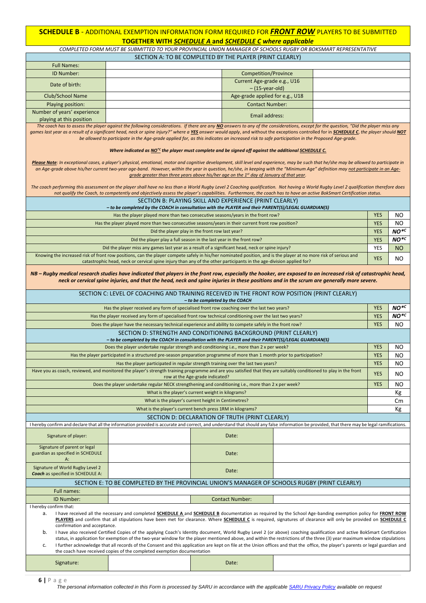#### **SCHEDULE B** - ADDITIONAL EXEMPTION INFORMATION FORM REQUIRED FOR *FRONT ROW* PLAYERS TO BE SUBMITTED **TOGETHER WITH** *SCHEDULE A* **and** *SCHEDULE C where applicable*

*COMPLETED FORM MUST BE SUBMITTED TO YOUR PROVINCIAL UNION MANAGER OF SCHOOLS RUGBY OR BOKSMART REPRESENTATIVE* SECTION A: TO BE COMPLETED BY THE PLAYER (PRINT CLEARLY)

| <b>Full Names:</b>                                                                                                                                                                                         |                                                                                                                                                                                                                                                                                                                                                               |                                                                                            |  |  |            |                  |
|------------------------------------------------------------------------------------------------------------------------------------------------------------------------------------------------------------|---------------------------------------------------------------------------------------------------------------------------------------------------------------------------------------------------------------------------------------------------------------------------------------------------------------------------------------------------------------|--------------------------------------------------------------------------------------------|--|--|------------|------------------|
| ID Number:                                                                                                                                                                                                 |                                                                                                                                                                                                                                                                                                                                                               | Competition/Province                                                                       |  |  |            |                  |
| Date of birth:                                                                                                                                                                                             |                                                                                                                                                                                                                                                                                                                                                               | Current Age-grade e.g., U16<br>$-(15-year-old)$                                            |  |  |            |                  |
| <b>Club/School Name</b>                                                                                                                                                                                    |                                                                                                                                                                                                                                                                                                                                                               | Age-grade applied for e.g., U18                                                            |  |  |            |                  |
| Playing position:                                                                                                                                                                                          |                                                                                                                                                                                                                                                                                                                                                               | <b>Contact Number:</b>                                                                     |  |  |            |                  |
| Number of years' experience                                                                                                                                                                                |                                                                                                                                                                                                                                                                                                                                                               | Email address:                                                                             |  |  |            |                  |
| playing at this position                                                                                                                                                                                   | The coach has to assess the player against the following considerations. If there are any NO answers to any of the considerations, except for the question, "Did the player miss any                                                                                                                                                                          |                                                                                            |  |  |            |                  |
|                                                                                                                                                                                                            | games last year as a result of a significant head, neck or spine injury?" where a <u>YES</u> answer would apply, and without the exceptions controlled for in SCHEDULE C, the player should NOT                                                                                                                                                               |                                                                                            |  |  |            |                  |
|                                                                                                                                                                                                            | be allowed to participate in the Age-grade applied for, as this indicates an increased risk to safe participation in the Proposed Age-grade.                                                                                                                                                                                                                  |                                                                                            |  |  |            |                  |
|                                                                                                                                                                                                            | Where indicated as $NO*c$ the player must complete and be signed off against the additional SCHEDULE C.<br>Please Note: In exceptional cases, a player's physical, emotional, motor and cognitive development, skill level and experience, may be such that he/she may be allowed to participate in                                                           |                                                                                            |  |  |            |                  |
|                                                                                                                                                                                                            | an Age-grade above his/her current two-year age-band. However, within the year in question, he/she, in keeping with the "Minimum Age" definition may not participate in an Age-                                                                                                                                                                               | grade greater than three years above his/her age on the $1st$ day of January of that year. |  |  |            |                  |
|                                                                                                                                                                                                            | The coach performing this assessment on the player shall have no less than a World Rugby Level 2 Coaching qualification. Not having a World Rugby Level 2 qualification therefore does<br>not qualify the Coach, to competently and objectively assess the player's capabilities. Furthermore, the coach has to have an active BokSmart Certification status. |                                                                                            |  |  |            |                  |
|                                                                                                                                                                                                            |                                                                                                                                                                                                                                                                                                                                                               | SECTION B: PLAYING SKILL AND EXPERIENCE (PRINT CLEARLY)                                    |  |  |            |                  |
|                                                                                                                                                                                                            | - to be completed by the COACH in consultation with the PLAYER and their PARENT(S)/LEGAL GUARDIAN(S)                                                                                                                                                                                                                                                          |                                                                                            |  |  |            |                  |
|                                                                                                                                                                                                            |                                                                                                                                                                                                                                                                                                                                                               | Has the player played more than two consecutive seasons/years in the front row?            |  |  | <b>YES</b> | NO.              |
|                                                                                                                                                                                                            | Has the player played more than two consecutive seasons/years in their current front row position?                                                                                                                                                                                                                                                            |                                                                                            |  |  | <b>YES</b> | NO               |
|                                                                                                                                                                                                            |                                                                                                                                                                                                                                                                                                                                                               | Did the player play in the front row last year?                                            |  |  | <b>YES</b> | $NO*C$           |
|                                                                                                                                                                                                            |                                                                                                                                                                                                                                                                                                                                                               | Did the player play a full season in the last year in the front row?                       |  |  | <b>YES</b> | NO <sup>*C</sup> |
|                                                                                                                                                                                                            | Did the player miss any games last year as a result of a significant head, neck or spine injury?<br>Knowing the increased risk of front row positions, can the player compete safely in his/her nominated position, and is the player at no more risk of serious and                                                                                          |                                                                                            |  |  | YES        | <b>NO</b>        |
|                                                                                                                                                                                                            | catastrophic head, neck or cervical spine injury than any of the other participants in the age-division applied for?                                                                                                                                                                                                                                          |                                                                                            |  |  | <b>YES</b> | NO               |
|                                                                                                                                                                                                            | NB - Rugby medical research studies have indicated that players in the front row, especially the hooker, are exposed to an increased risk of catastrophic head,<br>neck or cervical spine injuries, and that the head, neck and spine injuries in these positions and in the scrum are generally more severe.                                                 |                                                                                            |  |  |            |                  |
|                                                                                                                                                                                                            | SECTION C: LEVEL OF COACHING AND TRAINING RECEIVED IN THE FRONT ROW POSITION (PRINT CLEARLY)                                                                                                                                                                                                                                                                  | - to be completed by the COACH                                                             |  |  |            |                  |
|                                                                                                                                                                                                            | Has the player received any form of specialised front row coaching over the last two years?                                                                                                                                                                                                                                                                   |                                                                                            |  |  | <b>YES</b> | $NO*c$           |
|                                                                                                                                                                                                            | Has the player received any form of specialised front row technical conditioning over the last two years?                                                                                                                                                                                                                                                     |                                                                                            |  |  | <b>YES</b> | $NO*c$           |
|                                                                                                                                                                                                            | Does the player have the necessary technical experience and ability to compete safely in the front row?                                                                                                                                                                                                                                                       |                                                                                            |  |  | <b>YES</b> | NO.              |
|                                                                                                                                                                                                            | - to be completed by the COACH in consultation with the PLAYER and their PARENT(S)/LEGAL GUARDIAN(S)                                                                                                                                                                                                                                                          | SECTION D: STRENGTH AND CONDITIONING BACKGROUND (PRINT CLEARLY)                            |  |  |            |                  |
|                                                                                                                                                                                                            | Does the player undertake regular strength and conditioning i.e., more than 2 x per week?                                                                                                                                                                                                                                                                     |                                                                                            |  |  | <b>YES</b> | NO.              |
|                                                                                                                                                                                                            | Has the player participated in a structured pre-season preparation programme of more than 1 month prior to participation?                                                                                                                                                                                                                                     |                                                                                            |  |  | <b>YES</b> | NO               |
|                                                                                                                                                                                                            |                                                                                                                                                                                                                                                                                                                                                               | Has the player participated in regular strength training over the last two years?          |  |  | <b>YES</b> | NO               |
|                                                                                                                                                                                                            | Have you as coach, reviewed, and monitored the player's strength training programme and are you satisfied that they are suitably conditioned to play in the front                                                                                                                                                                                             | row at the Age-grade indicated?                                                            |  |  | <b>YES</b> | NO               |
|                                                                                                                                                                                                            | Does the player undertake regular NECK strengthening and conditioning i.e., more than 2 x per week?                                                                                                                                                                                                                                                           |                                                                                            |  |  | <b>YES</b> | NO               |
|                                                                                                                                                                                                            |                                                                                                                                                                                                                                                                                                                                                               | What is the player's current weight in kilograms?                                          |  |  |            | Кg               |
|                                                                                                                                                                                                            |                                                                                                                                                                                                                                                                                                                                                               | What is the player's current height in Centimetres?                                        |  |  |            | Cm               |
|                                                                                                                                                                                                            |                                                                                                                                                                                                                                                                                                                                                               | What is the player's current bench press 1RM in kilograms?                                 |  |  |            | Кg               |
|                                                                                                                                                                                                            |                                                                                                                                                                                                                                                                                                                                                               | SECTION D: DECLARATION OF TRUTH (PRINT CLEARLY)                                            |  |  |            |                  |
|                                                                                                                                                                                                            | I hereby confirm and declare that all the information provided is accurate and correct, and understand that should any false information be provided, that there may be legal ramifications.                                                                                                                                                                  |                                                                                            |  |  |            |                  |
| Signature of player:                                                                                                                                                                                       |                                                                                                                                                                                                                                                                                                                                                               | Date:                                                                                      |  |  |            |                  |
| Signature of parent or legal<br>guardian as specified in SCHEDULE<br>A:                                                                                                                                    |                                                                                                                                                                                                                                                                                                                                                               | Date:                                                                                      |  |  |            |                  |
| Signature of World Rugby Level 2<br><b>Coach</b> as specified in SCHEDULE A:                                                                                                                               |                                                                                                                                                                                                                                                                                                                                                               | Date:                                                                                      |  |  |            |                  |
|                                                                                                                                                                                                            | SECTION E: TO BE COMPLETED BY THE PROVINCIAL UNION'S MANAGER OF SCHOOLS RUGBY (PRINT CLEARLY)                                                                                                                                                                                                                                                                 |                                                                                            |  |  |            |                  |
| Full names:                                                                                                                                                                                                |                                                                                                                                                                                                                                                                                                                                                               |                                                                                            |  |  |            |                  |
| ID Number:                                                                                                                                                                                                 |                                                                                                                                                                                                                                                                                                                                                               | <b>Contact Number:</b>                                                                     |  |  |            |                  |
| I hereby confirm that:<br>I have received all the necessary and completed <b>SCHEDULE A</b> and <b>SCHEDULE B</b> documentation as required by the School Age-banding exemption policy for FRONT ROW<br>а. |                                                                                                                                                                                                                                                                                                                                                               |                                                                                            |  |  |            |                  |
|                                                                                                                                                                                                            | PLAYERS and confirm that all stipulations have been met for clearance. Where SCHEDULE C is required, signatures of clearance will only be provided on SCHEDULE C<br>confirmation and acceptance.                                                                                                                                                              |                                                                                            |  |  |            |                  |
| b.                                                                                                                                                                                                         | I have also received Certified Copies of the applying Coach's Identity document, World Rugby Level 2 (or above) coaching qualification and active BokSmart Certification                                                                                                                                                                                      |                                                                                            |  |  |            |                  |
| c.                                                                                                                                                                                                         | status, in application for exemption of the two-year window for the player mentioned above, and within the restrictions of the three (3) year maximum window stipulations<br>I further acknowledge that all records of the Consent and this application are kept on file at the Union offices and that the office, the player's parents or legal guardian and |                                                                                            |  |  |            |                  |
|                                                                                                                                                                                                            | the coach have received copies of the completed exemption documentation                                                                                                                                                                                                                                                                                       |                                                                                            |  |  |            |                  |
| Signature:                                                                                                                                                                                                 |                                                                                                                                                                                                                                                                                                                                                               | Date:                                                                                      |  |  |            |                  |

**6 |** P a g e